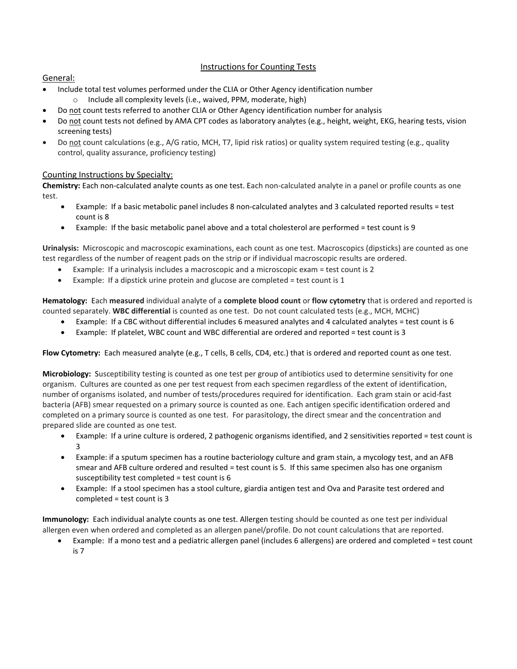## Instructions for Counting Tests

## General:

- Include total test volumes performed under the CLIA or Other Agency identification number
	- o Include all complexity levels (i.e., waived, PPM, moderate, high)
- Do not count tests referred to another CLIA or Other Agency identification number for analysis
- Do not count tests not defined by AMA CPT codes as laboratory analytes (e.g., height, weight, EKG, hearing tests, vision screening tests)
- Do not count calculations (e.g., A/G ratio, MCH, T7, lipid risk ratios) or quality system required testing (e.g., quality control, quality assurance, proficiency testing)

## Counting Instructions by Specialty:

**Chemistry:** Each non-calculated analyte counts as one test. Each non-calculated analyte in a panel or profile counts as one test.

- Example: If a basic metabolic panel includes 8 non-calculated analytes and 3 calculated reported results = test count is 8
- Example: If the basic metabolic panel above and a total cholesterol are performed = test count is 9

**Urinalysis:** Microscopic and macroscopic examinations, each count as one test. Macroscopics (dipsticks) are counted as one test regardless of the number of reagent pads on the strip or if individual macroscopic results are ordered.

- Example: If a urinalysis includes a macroscopic and a microscopic exam = test count is 2
- $\bullet$  Example: If a dipstick urine protein and glucose are completed = test count is 1

**Hematology:** Each **measured** individual analyte of a **complete blood count** or **flow cytometry** that is ordered and reported is counted separately. **WBC differential** is counted as one test. Do not count calculated tests (e.g., MCH, MCHC)

- Example: If a CBC without differential includes 6 measured analytes and 4 calculated analytes = test count is 6
- Example: If platelet, WBC count and WBC differential are ordered and reported = test count is 3

Flow Cytometry: Each measured analyte (e.g., T cells, B cells, CD4, etc.) that is ordered and reported count as one test.

**Microbiology:** Susceptibility testing is counted as one test per group of antibiotics used to determine sensitivity for one organism. Cultures are counted as one per test request from each specimen regardless of the extent of identification, number of organisms isolated, and number of tests/procedures required for identification. Each gram stain or acid-fast bacteria (AFB) smear requested on a primary source is counted as one. Each antigen specific identification ordered and completed on a primary source is counted as one test. For parasitology, the direct smear and the concentration and prepared slide are counted as one test.

- Example: If a urine culture is ordered, 2 pathogenic organisms identified, and 2 sensitivities reported = test count is 3
- Example: if a sputum specimen has a routine bacteriology culture and gram stain, a mycology test, and an AFB smear and AFB culture ordered and resulted = test count is 5. If this same specimen also has one organism susceptibility test completed = test count is 6
- Example: If a stool specimen has a stool culture, giardia antigen test and Ova and Parasite test ordered and completed = test count is 3

**Immunology:** Each individual analyte counts as one test. Allergen testing should be counted as one test per individual allergen even when ordered and completed as an allergen panel/profile. Do not count calculations that are reported.

• Example: If a mono test and a pediatric allergen panel (includes 6 allergens) are ordered and completed = test count is 7